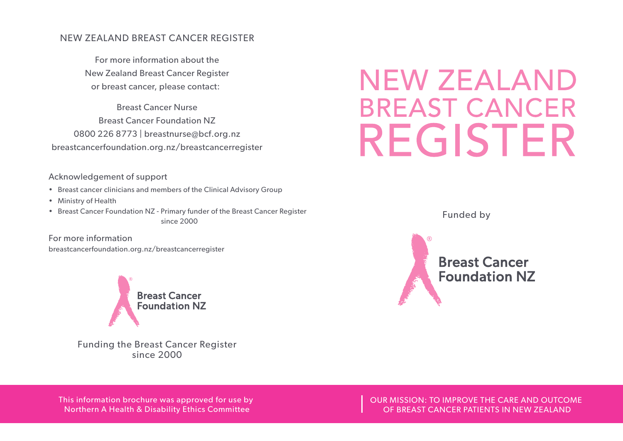#### NEW ZEALAND BREAST CANCER REGISTER

For more information about the New Zealand Breast Cancer Register or breast cancer, please contact:

Breast Cancer Nurse Breast Cancer Foundation NZ 0800 226 8773 | breastnurse@bcf.org.nz breastcancerfoundation.org.nz/breastcancerregister

#### Acknowledgement of support

- Breast cancer clinicians and members of the Clinical Advisory Group
- Ministry of Health
- Breast Cancer Foundation NZ Primary funder of the Breast Cancer Register since 2000

For more information breastcancerfoundation.org.nz/breastcancerregister



Funding the Breast Cancer Register since 2000

# **NEW ZEALAND BREAST CANCER** REGISTER

Funded by



This information brochure was approved for use by Northern A Health & Disability Ethics Committee

OUR MISSION: TO IMPROVE THE CARE AND OUTCOME OF BREAST CANCER PATIENTS IN NEW ZEALAND